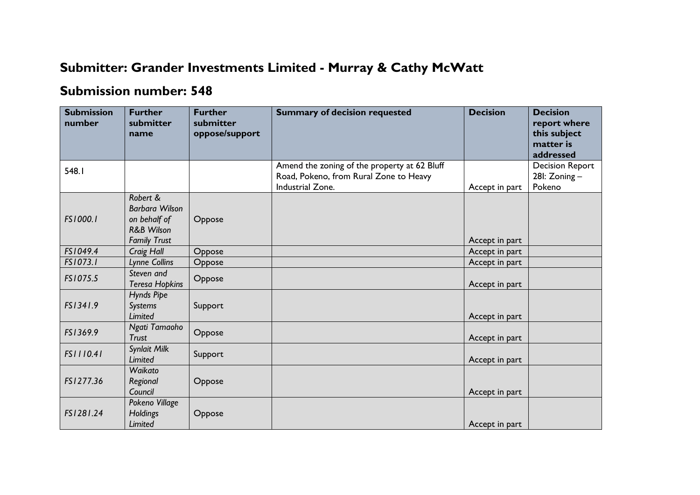## **Submitter: Grander Investments Limited - Murray & Cathy McWatt**

## **Submission number: 548**

| <b>Submission</b><br>number | <b>Further</b><br>submitter<br>name                                                               | <b>Further</b><br>submitter<br>oppose/support | <b>Summary of decision requested</b>                                                                       | <b>Decision</b> | <b>Decision</b><br>report where<br>this subject     |
|-----------------------------|---------------------------------------------------------------------------------------------------|-----------------------------------------------|------------------------------------------------------------------------------------------------------------|-----------------|-----------------------------------------------------|
|                             |                                                                                                   |                                               |                                                                                                            |                 | matter is<br>addressed                              |
| 548.1                       |                                                                                                   |                                               | Amend the zoning of the property at 62 Bluff<br>Road, Pokeno, from Rural Zone to Heavy<br>Industrial Zone. | Accept in part  | <b>Decision Report</b><br>28I: $Zoning -$<br>Pokeno |
| FS1000.1                    | Robert &<br><b>Barbara Wilson</b><br>on behalf of<br><b>R&amp;B Wilson</b><br><b>Family Trust</b> | Oppose                                        |                                                                                                            | Accept in part  |                                                     |
| FS1049.4                    | Craig Hall                                                                                        | Oppose                                        |                                                                                                            | Accept in part  |                                                     |
| FS1073.1                    | Lynne Collins                                                                                     | Oppose                                        |                                                                                                            | Accept in part  |                                                     |
| FS1075.5                    | Steven and<br><b>Teresa Hopkins</b>                                                               | Oppose                                        |                                                                                                            | Accept in part  |                                                     |
| FS1341.9                    | Hynds Pipe<br>Systems<br><b>Limited</b>                                                           | Support                                       |                                                                                                            | Accept in part  |                                                     |
| FS1369.9                    | Ngati Tamaoho<br><b>Trust</b>                                                                     | Oppose                                        |                                                                                                            | Accept in part  |                                                     |
| FS1110.41                   | Synlait Milk<br><b>Limited</b>                                                                    | Support                                       |                                                                                                            | Accept in part  |                                                     |
| FS1277.36                   | Waikato<br>Regional<br>Council                                                                    | Oppose                                        |                                                                                                            | Accept in part  |                                                     |
| FS1281.24                   | Pokeno Village<br><b>Holdings</b><br>Limited                                                      | Oppose                                        |                                                                                                            | Accept in part  |                                                     |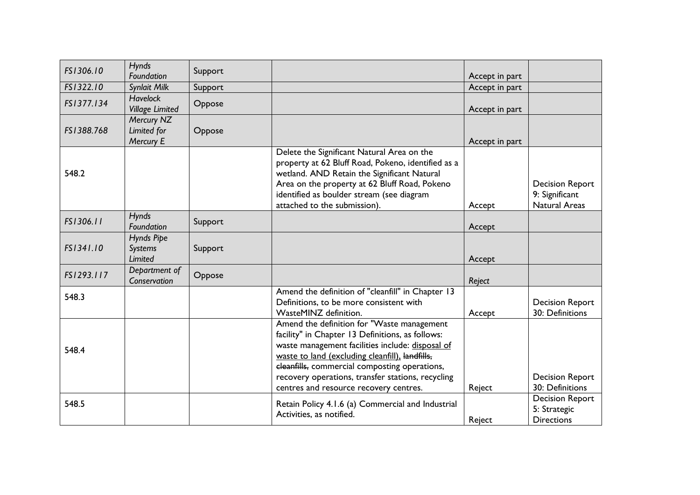| FS1306.10  | <b>Hynds</b><br>Foundation                | Support |                                                                                                                                                                                                                                                                                                                                                       | Accept in part |                                                                  |
|------------|-------------------------------------------|---------|-------------------------------------------------------------------------------------------------------------------------------------------------------------------------------------------------------------------------------------------------------------------------------------------------------------------------------------------------------|----------------|------------------------------------------------------------------|
| FS1322.10  | Synlait Milk                              | Support |                                                                                                                                                                                                                                                                                                                                                       | Accept in part |                                                                  |
| FS1377.134 | <b>Havelock</b><br><b>Village Limited</b> | Oppose  |                                                                                                                                                                                                                                                                                                                                                       | Accept in part |                                                                  |
| FS1388.768 | Mercury NZ<br>Limited for<br>Mercury E    | Oppose  |                                                                                                                                                                                                                                                                                                                                                       | Accept in part |                                                                  |
| 548.2      |                                           |         | Delete the Significant Natural Area on the<br>property at 62 Bluff Road, Pokeno, identified as a<br>wetland. AND Retain the Significant Natural<br>Area on the property at 62 Bluff Road, Pokeno<br>identified as boulder stream (see diagram<br>attached to the submission).                                                                         | Accept         | <b>Decision Report</b><br>9: Significant<br><b>Natural Areas</b> |
| FS1306.11  | <b>Hynds</b><br>Foundation                | Support |                                                                                                                                                                                                                                                                                                                                                       | Accept         |                                                                  |
| FS1341.10  | Hynds Pipe<br>Systems<br><b>Limited</b>   | Support |                                                                                                                                                                                                                                                                                                                                                       | Accept         |                                                                  |
| FS1293.117 | Department of<br>Conservation             | Oppose  |                                                                                                                                                                                                                                                                                                                                                       | Reject         |                                                                  |
| 548.3      |                                           |         | Amend the definition of "cleanfill" in Chapter 13<br>Definitions, to be more consistent with<br>WasteMINZ definition.                                                                                                                                                                                                                                 | Accept         | <b>Decision Report</b><br>30: Definitions                        |
| 548.4      |                                           |         | Amend the definition for "Waste management<br>facility" in Chapter 13 Definitions, as follows:<br>waste management facilities include: disposal of<br>waste to land (excluding cleanfill), landfills,<br>eleanfills, commercial composting operations,<br>recovery operations, transfer stations, recycling<br>centres and resource recovery centres. | Reject         | <b>Decision Report</b><br>30: Definitions                        |
| 548.5      |                                           |         | Retain Policy 4.1.6 (a) Commercial and Industrial<br>Activities, as notified.                                                                                                                                                                                                                                                                         | Reject         | <b>Decision Report</b><br>5: Strategic<br><b>Directions</b>      |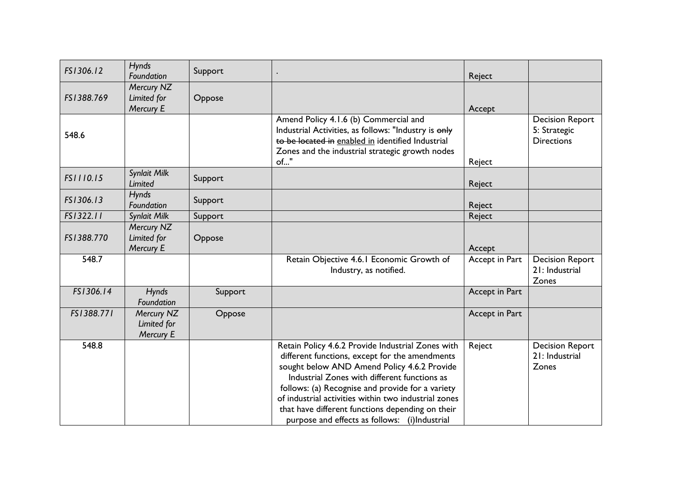| FS1306.12  | <b>Hynds</b><br>Foundation             | Support |                                                                                                                                                                                                                                                                                                                                                                                                                     | Reject         |                                                             |
|------------|----------------------------------------|---------|---------------------------------------------------------------------------------------------------------------------------------------------------------------------------------------------------------------------------------------------------------------------------------------------------------------------------------------------------------------------------------------------------------------------|----------------|-------------------------------------------------------------|
| FS1388.769 | Mercury NZ<br>Limited for<br>Mercury E | Oppose  |                                                                                                                                                                                                                                                                                                                                                                                                                     | Accept         |                                                             |
| 548.6      |                                        |         | Amend Policy 4.1.6 (b) Commercial and<br>Industrial Activities, as follows: "Industry is only<br>to be located in enabled in identified Industrial<br>Zones and the industrial strategic growth nodes<br>of"                                                                                                                                                                                                        | Reject         | <b>Decision Report</b><br>5: Strategic<br><b>Directions</b> |
| FS1110.15  | Synlait Milk<br><b>Limited</b>         | Support |                                                                                                                                                                                                                                                                                                                                                                                                                     | Reject         |                                                             |
| FS1306.13  | <b>Hynds</b><br>Foundation             | Support |                                                                                                                                                                                                                                                                                                                                                                                                                     | Reject         |                                                             |
| FS1322.11  | Synlait Milk                           | Support |                                                                                                                                                                                                                                                                                                                                                                                                                     | Reject         |                                                             |
| FS1388.770 | Mercury NZ<br>Limited for<br>Mercury E | Oppose  |                                                                                                                                                                                                                                                                                                                                                                                                                     | Accept         |                                                             |
| 548.7      |                                        |         | Retain Objective 4.6.1 Economic Growth of<br>Industry, as notified.                                                                                                                                                                                                                                                                                                                                                 | Accept in Part | <b>Decision Report</b><br>21: Industrial<br>Zones           |
| FS1306.14  | <b>Hynds</b><br>Foundation             | Support |                                                                                                                                                                                                                                                                                                                                                                                                                     | Accept in Part |                                                             |
| FS1388.771 | Mercury NZ<br>Limited for<br>Mercury E | Oppose  |                                                                                                                                                                                                                                                                                                                                                                                                                     | Accept in Part |                                                             |
| 548.8      |                                        |         | Retain Policy 4.6.2 Provide Industrial Zones with<br>different functions, except for the amendments<br>sought below AND Amend Policy 4.6.2 Provide<br>Industrial Zones with different functions as<br>follows: (a) Recognise and provide for a variety<br>of industrial activities within two industrial zones<br>that have different functions depending on their<br>purpose and effects as follows: (i)Industrial | Reject         | <b>Decision Report</b><br>21: Industrial<br>Zones           |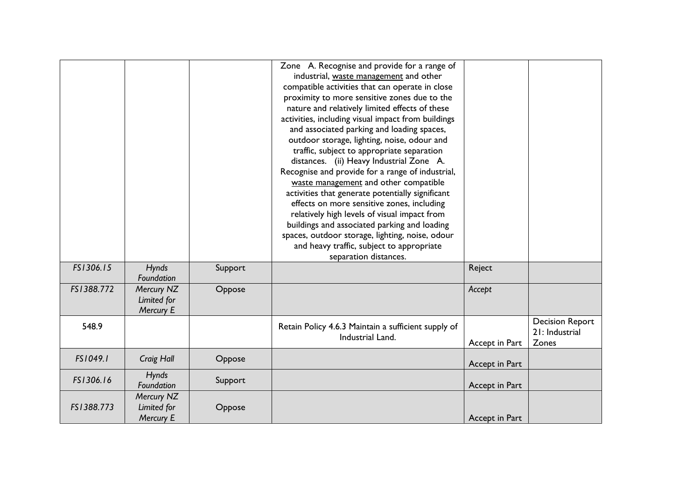|            |                                        |         | Zone A. Recognise and provide for a range of<br>industrial, waste management and other<br>compatible activities that can operate in close<br>proximity to more sensitive zones due to the<br>nature and relatively limited effects of these<br>activities, including visual impact from buildings<br>and associated parking and loading spaces,<br>outdoor storage, lighting, noise, odour and<br>traffic, subject to appropriate separation<br>distances. (ii) Heavy Industrial Zone A.<br>Recognise and provide for a range of industrial,<br>waste management and other compatible<br>activities that generate potentially significant<br>effects on more sensitive zones, including<br>relatively high levels of visual impact from<br>buildings and associated parking and loading<br>spaces, outdoor storage, lighting, noise, odour<br>and heavy traffic, subject to appropriate<br>separation distances. |                |                                                   |
|------------|----------------------------------------|---------|------------------------------------------------------------------------------------------------------------------------------------------------------------------------------------------------------------------------------------------------------------------------------------------------------------------------------------------------------------------------------------------------------------------------------------------------------------------------------------------------------------------------------------------------------------------------------------------------------------------------------------------------------------------------------------------------------------------------------------------------------------------------------------------------------------------------------------------------------------------------------------------------------------------|----------------|---------------------------------------------------|
| FS1306.15  | Hynds<br>Foundation                    | Support |                                                                                                                                                                                                                                                                                                                                                                                                                                                                                                                                                                                                                                                                                                                                                                                                                                                                                                                  | Reject         |                                                   |
| FS1388.772 | Mercury NZ<br>Limited for<br>Mercury E | Oppose  |                                                                                                                                                                                                                                                                                                                                                                                                                                                                                                                                                                                                                                                                                                                                                                                                                                                                                                                  | Accept         |                                                   |
| 548.9      |                                        |         | Retain Policy 4.6.3 Maintain a sufficient supply of<br>Industrial Land.                                                                                                                                                                                                                                                                                                                                                                                                                                                                                                                                                                                                                                                                                                                                                                                                                                          | Accept in Part | <b>Decision Report</b><br>21: Industrial<br>Zones |
| FS1049.1   | Craig Hall                             | Oppose  |                                                                                                                                                                                                                                                                                                                                                                                                                                                                                                                                                                                                                                                                                                                                                                                                                                                                                                                  | Accept in Part |                                                   |
| FS1306.16  | <b>Hynds</b><br>Foundation             | Support |                                                                                                                                                                                                                                                                                                                                                                                                                                                                                                                                                                                                                                                                                                                                                                                                                                                                                                                  | Accept in Part |                                                   |
| FS1388.773 | Mercury NZ<br>Limited for<br>Mercury E | Oppose  |                                                                                                                                                                                                                                                                                                                                                                                                                                                                                                                                                                                                                                                                                                                                                                                                                                                                                                                  | Accept in Part |                                                   |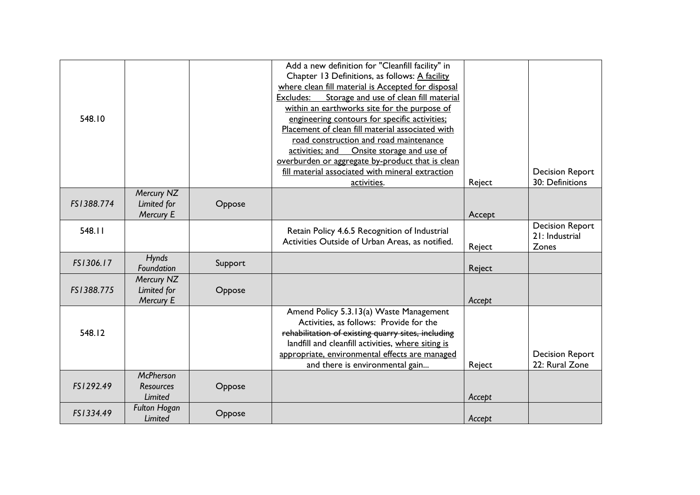| 548.10     |                                                 |         | Add a new definition for "Cleanfill facility" in<br>Chapter 13 Definitions, as follows: A facility<br>where clean fill material is Accepted for disposal<br>Storage and use of clean fill material<br>Excludes:<br>within an earthworks site for the purpose of<br>engineering contours for specific activities;<br>Placement of clean fill material associated with<br>road construction and road maintenance<br>activities; and Onsite storage and use of<br>overburden or aggregate by-product that is clean<br>fill material associated with mineral extraction<br>activities. | Reject | <b>Decision Report</b><br>30: Definitions         |
|------------|-------------------------------------------------|---------|------------------------------------------------------------------------------------------------------------------------------------------------------------------------------------------------------------------------------------------------------------------------------------------------------------------------------------------------------------------------------------------------------------------------------------------------------------------------------------------------------------------------------------------------------------------------------------|--------|---------------------------------------------------|
| FS1388.774 | Mercury NZ<br>Limited for<br><b>Mercury E</b>   | Oppose  |                                                                                                                                                                                                                                                                                                                                                                                                                                                                                                                                                                                    | Accept |                                                   |
| 548.11     |                                                 |         | Retain Policy 4.6.5 Recognition of Industrial<br>Activities Outside of Urban Areas, as notified.                                                                                                                                                                                                                                                                                                                                                                                                                                                                                   | Reject | <b>Decision Report</b><br>21: Industrial<br>Zones |
| FS1306.17  | <b>Hynds</b><br>Foundation                      | Support |                                                                                                                                                                                                                                                                                                                                                                                                                                                                                                                                                                                    | Reject |                                                   |
| FS1388.775 | Mercury NZ<br>Limited for<br>Mercury E          | Oppose  |                                                                                                                                                                                                                                                                                                                                                                                                                                                                                                                                                                                    | Accept |                                                   |
| 548.12     |                                                 |         | Amend Policy 5.3.13(a) Waste Management<br>Activities, as follows: Provide for the<br>rehabilitation of existing quarry sites, including<br>landfill and cleanfill activities, where siting is<br>appropriate, environmental effects are managed<br>and there is environmental gain                                                                                                                                                                                                                                                                                                | Reject | <b>Decision Report</b><br>22: Rural Zone          |
| FS1292.49  | <b>McPherson</b><br><b>Resources</b><br>Limited | Oppose  |                                                                                                                                                                                                                                                                                                                                                                                                                                                                                                                                                                                    | Accept |                                                   |
| FS1334.49  | <b>Fulton Hogan</b><br>Limited                  | Oppose  |                                                                                                                                                                                                                                                                                                                                                                                                                                                                                                                                                                                    | Accept |                                                   |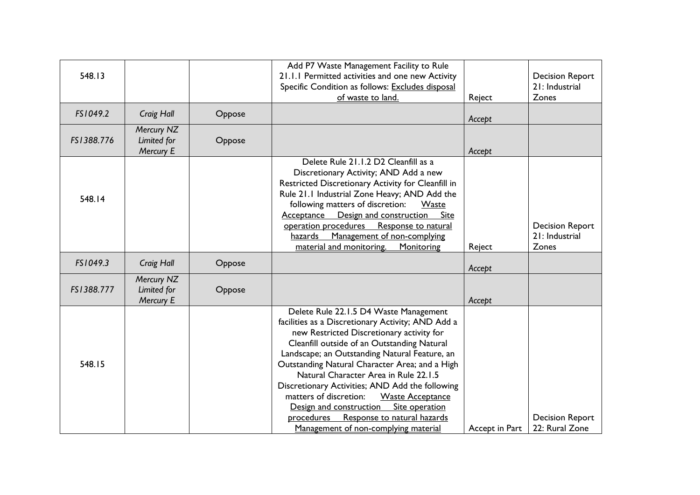| 548.13     |                                        |        | Add P7 Waste Management Facility to Rule<br>21.1.1 Permitted activities and one new Activity<br>Specific Condition as follows: Excludes disposal<br>of waste to land.                                                                                                                                                                                                                                                                                                                                                                                                         | Reject         | <b>Decision Report</b><br>21: Industrial<br>Zones |
|------------|----------------------------------------|--------|-------------------------------------------------------------------------------------------------------------------------------------------------------------------------------------------------------------------------------------------------------------------------------------------------------------------------------------------------------------------------------------------------------------------------------------------------------------------------------------------------------------------------------------------------------------------------------|----------------|---------------------------------------------------|
| FS1049.2   | Craig Hall                             | Oppose |                                                                                                                                                                                                                                                                                                                                                                                                                                                                                                                                                                               | Accept         |                                                   |
| FS1388.776 | Mercury NZ<br>Limited for<br>Mercury E | Oppose |                                                                                                                                                                                                                                                                                                                                                                                                                                                                                                                                                                               | Accept         |                                                   |
| 548.14     |                                        |        | Delete Rule 21.1.2 D2 Cleanfill as a<br>Discretionary Activity; AND Add a new<br>Restricted Discretionary Activity for Cleanfill in<br>Rule 21.1 Industrial Zone Heavy; AND Add the<br>following matters of discretion:<br>Waste<br>Design and construction Site<br><b>Acceptance</b><br>operation procedures Response to natural<br>hazards Management of non-complying<br>material and monitoring.<br>Monitoring                                                                                                                                                            | Reject         | <b>Decision Report</b><br>21: Industrial<br>Zones |
| FS1049.3   | Craig Hall                             | Oppose |                                                                                                                                                                                                                                                                                                                                                                                                                                                                                                                                                                               | Accept         |                                                   |
| FS1388.777 | Mercury NZ<br>Limited for<br>Mercury E | Oppose |                                                                                                                                                                                                                                                                                                                                                                                                                                                                                                                                                                               | Accept         |                                                   |
| 548.15     |                                        |        | Delete Rule 22.1.5 D4 Waste Management<br>facilities as a Discretionary Activity; AND Add a<br>new Restricted Discretionary activity for<br>Cleanfill outside of an Outstanding Natural<br>Landscape; an Outstanding Natural Feature, an<br>Outstanding Natural Character Area; and a High<br>Natural Character Area in Rule 22.1.5<br>Discretionary Activities; AND Add the following<br>matters of discretion:<br><b>Waste Acceptance</b><br>Site operation<br>Design and construction<br>procedures<br>Response to natural hazards<br>Management of non-complying material | Accept in Part | <b>Decision Report</b><br>22: Rural Zone          |